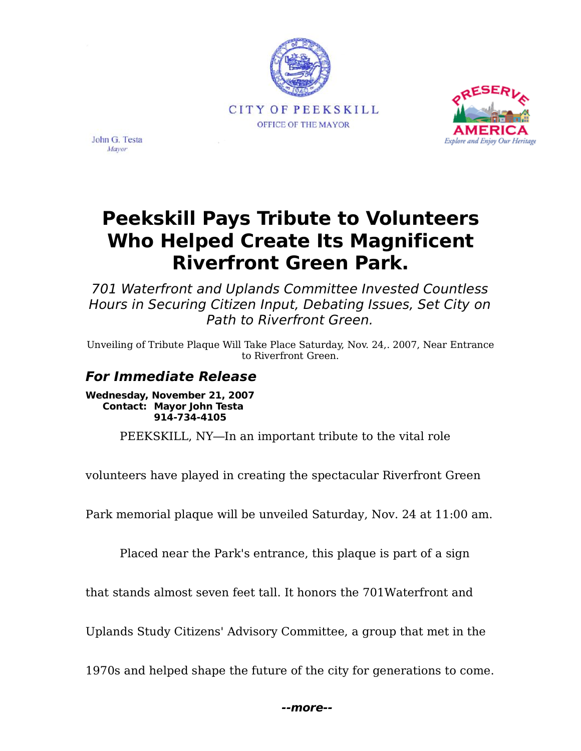



John G. Testa Mayor

# **Peekskill Pays Tribute to Volunteers Who Helped Create Its Magnificent Riverfront Green Park.**

701 Waterfront and Uplands Committee Invested Countless Hours in Securing Citizen Input, Debating Issues, Set City on Path to Riverfront Green.

Unveiling of Tribute Plaque Will Take Place Saturday, Nov. 24,. 2007, Near Entrance to Riverfront Green.

### **For Immediate Release**

**Wednesday, November 21, 2007 Contact: Mayor John Testa 914-734-4105**

PEEKSKILL, NY-In an important tribute to the vital role

volunteers have played in creating the spectacular Riverfront Green

Park memorial plaque will be unveiled Saturday, Nov. 24 at 11:00 am.

Placed near the Park's entrance, this plaque is part of a sign

that stands almost seven feet tall. It honors the 701Waterfront and

Uplands Study Citizens' Advisory Committee, a group that met in the

1970s and helped shape the future of the city for generations to come.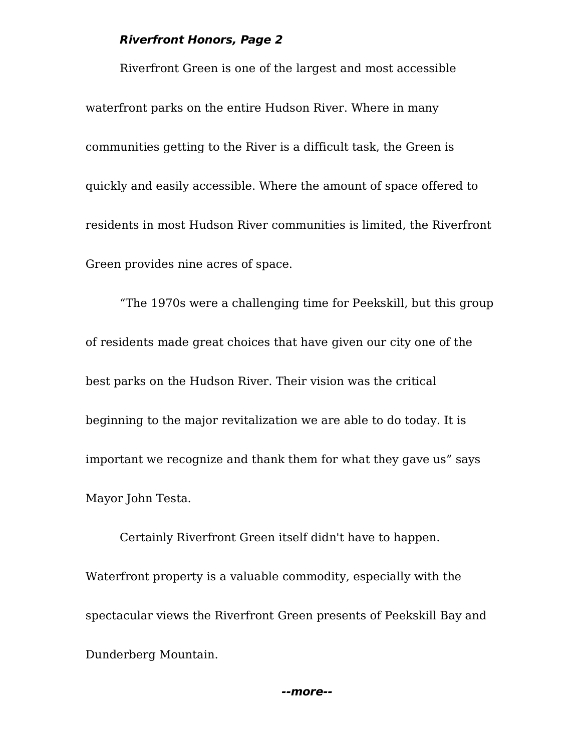Riverfront Green is one of the largest and most accessible waterfront parks on the entire Hudson River. Where in many communities getting to the River is a difficult task, the Green is quickly and easily accessible. Where the amount of space offered to residents in most Hudson River communities is limited, the Riverfront Green provides nine acres of space.

The 1970s were a challenging time for Peekskill, but this group of residents made great choices that have given our city one of the best parks on the Hudson River. Their vision was the critical beginning to the major revitalization we are able to do today. It is important we recognize and thank them for what they gave us" says Mayor John Testa.

Certainly Riverfront Green itself didn't have to happen. Waterfront property is a valuable commodity, especially with the spectacular views the Riverfront Green presents of Peekskill Bay and Dunderberg Mountain.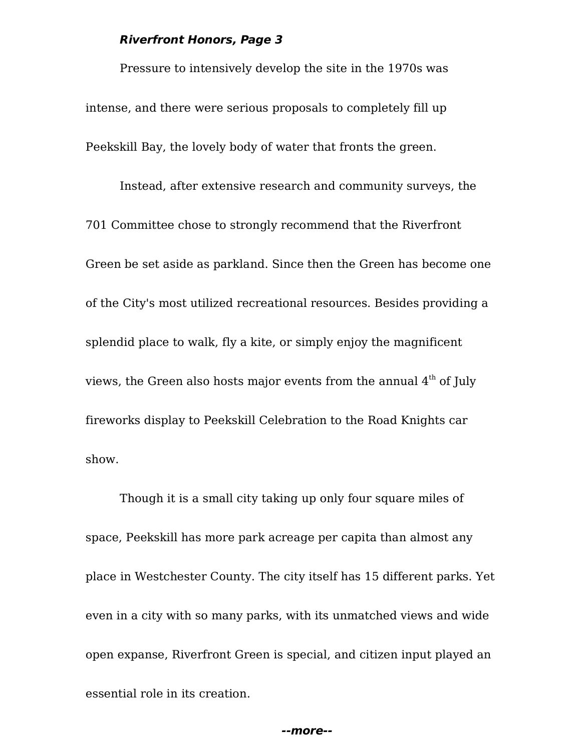Pressure to intensively develop the site in the 1970s was intense, and there were serious proposals to completely fill up Peekskill Bay, the lovely body of water that fronts the green.

Instead, after extensive research and community surveys, the 701 Committee chose to strongly recommend that the Riverfront Green be set aside as parkland. Since then the Green has become one of the City's most utilized recreational resources. Besides providing a splendid place to walk, fly a kite, or simply enjoy the magnificent views, the Green also hosts major events from the annual  $4<sup>th</sup>$  of July fireworks display to Peekskill Celebration to the Road Knights car show.

Though it is a small city taking up only four square miles of space, Peekskill has more park acreage per capita than almost any place in Westchester County. The city itself has 15 different parks. Yet even in a city with so many parks, with its unmatched views and wide open expanse, Riverfront Green is special, and citizen input played an essential role in its creation.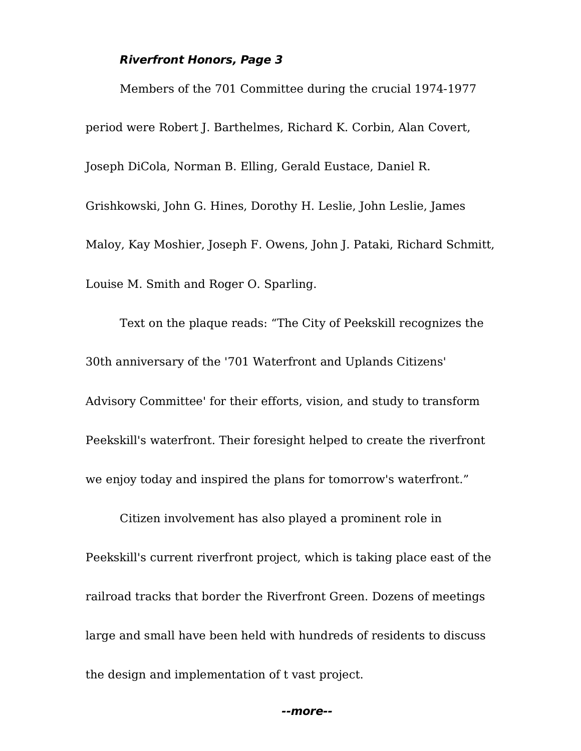Members of the 701 Committee during the crucial 1974-1977 period were Robert J. Barthelmes, Richard K. Corbin, Alan Covert, Joseph DiCola, Norman B. Elling, Gerald Eustace, Daniel R. Grishkowski, John G. Hines, Dorothy H. Leslie, John Leslie, James Maloy, Kay Moshier, Joseph F. Owens, John J. Pataki, Richard Schmitt, Louise M. Smith and Roger O. Sparling.

Text on the plaque reads: "The City of Peekskill recognizes the 30th anniversary of the '701 Waterfront and Uplands Citizens' Advisory Committee' for their efforts, vision, and study to transform Peekskill's waterfront. Their foresight helped to create the riverfront we enjoy today and inspired the plans for tomorrow's waterfront.

Citizen involvement has also played a prominent role in Peekskill's current riverfront project, which is taking place east of the railroad tracks that border the Riverfront Green. Dozens of meetings large and small have been held with hundreds of residents to discuss the design and implementation of t vast project.